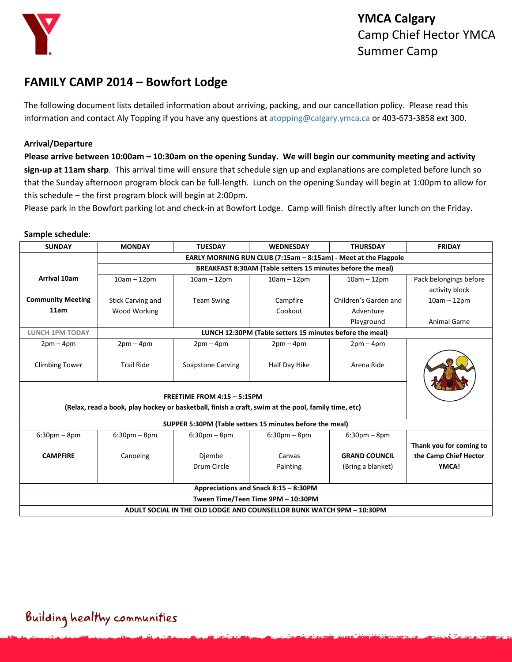

### **FAMILY CAMP 2014 – Bowfort Lodge**

The following document lists detailed information about arriving, packing, and our cancellation policy. Please read this information and contact Aly Topping if you have any questions at [atopping@calgary.ymca.ca](mailto:atopping@calgary.ymca.ca) or 403-673-3858 ext 300.

#### **Arrival/Departure**

**Please arrive between 10:00am – 10:30am on the opening Sunday. We will begin our community meeting and activity sign-up at 11am sharp**. This arrival time will ensure that schedule sign up and explanations are completed before lunch so that the Sunday afternoon program block can be full-length. Lunch on the opening Sunday will begin at 1:00pm to allow for this schedule – the first program block will begin at 2:00pm.

Please park in the Bowfort parking lot and check-in at Bowfort Lodge. Camp will finish directly after lunch on the Friday.

#### **Sample schedule**:

| <b>SUNDAY</b>                                                                                                                      | <b>MONDAY</b>                                                   | <b>TUESDAY</b>           | <b>WEDNESDAY</b> | <b>THURSDAY</b>       | <b>FRIDAY</b>           |  |
|------------------------------------------------------------------------------------------------------------------------------------|-----------------------------------------------------------------|--------------------------|------------------|-----------------------|-------------------------|--|
|                                                                                                                                    | EARLY MORNING RUN CLUB (7:15am - 8:15am) - Meet at the Flagpole |                          |                  |                       |                         |  |
|                                                                                                                                    | BREAKFAST 8:30AM (Table setters 15 minutes before the meal)     |                          |                  |                       |                         |  |
| Arrival 10am                                                                                                                       | $10am - 12pm$                                                   | $10am - 12pm$            | $10am - 12pm$    | $10am - 12pm$         | Pack belongings before  |  |
|                                                                                                                                    |                                                                 |                          |                  |                       | activity block          |  |
| <b>Community Meeting</b>                                                                                                           | Stick Carving and                                               | <b>Team Swing</b>        | Campfire         | Children's Garden and | $10am - 12pm$           |  |
| 11am                                                                                                                               | <b>Wood Working</b>                                             |                          | Cookout          | Adventure             |                         |  |
|                                                                                                                                    |                                                                 |                          |                  | Playground            | <b>Animal Game</b>      |  |
| <b>LUNCH 1PM TODAY</b>                                                                                                             | LUNCH 12:30PM (Table setters 15 minutes before the meal)        |                          |                  |                       |                         |  |
| $2pm-4pm$                                                                                                                          | $2pm-4pm$                                                       | $2pm-4pm$                | $2pm-4pm$        | $2pm-4pm$             |                         |  |
| <b>Climbing Tower</b>                                                                                                              | <b>Trail Ride</b>                                               | <b>Soapstone Carving</b> | Half Day Hike    | Arena Ride            |                         |  |
| FREETIME FROM 4:15 - 5:15PM<br>(Relax, read a book, play hockey or basketball, finish a craft, swim at the pool, family time, etc) |                                                                 |                          |                  |                       |                         |  |
| SUPPER 5:30PM (Table setters 15 minutes before the meal)                                                                           |                                                                 |                          |                  |                       |                         |  |
| $6:30pm - 8pm$                                                                                                                     | $6:30pm - 8pm$                                                  | $6:30$ pm – $8$ pm       | $6:30pm - 8pm$   | $6:30$ pm – 8pm       |                         |  |
|                                                                                                                                    |                                                                 |                          |                  |                       | Thank you for coming to |  |
| <b>CAMPFIRE</b>                                                                                                                    | Canoeing                                                        | Diembe                   | Canvas           | <b>GRAND COUNCIL</b>  | the Camp Chief Hector   |  |
|                                                                                                                                    |                                                                 | Drum Circle              | Painting         | (Bring a blanket)     | YMCA!                   |  |
|                                                                                                                                    |                                                                 |                          |                  |                       |                         |  |
| Appreciations and Snack 8:15 - 8:30PM                                                                                              |                                                                 |                          |                  |                       |                         |  |
| Tween Time/Teen Time 9PM - 10:30PM                                                                                                 |                                                                 |                          |                  |                       |                         |  |
| ADULT SOCIAL IN THE OLD LODGE AND COUNSELLOR BUNK WATCH 9PM - 10:30PM                                                              |                                                                 |                          |                  |                       |                         |  |

## Building healthy communities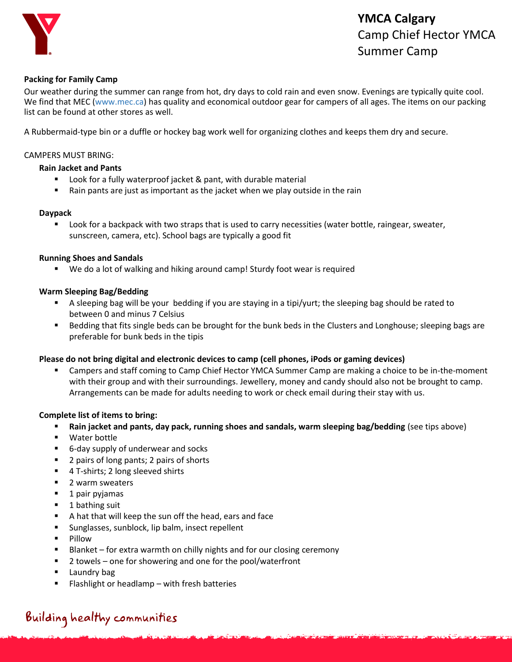

### **YMCA Calgary** Camp Chief Hector YMCA Summer Camp

#### **Packing for Family Camp**

Our weather during the summer can range from hot, dry days to cold rain and even snow. Evenings are typically quite cool. We find that MEC [\(www.mec.ca\)](http://www.mec.ca/) has quality and economical outdoor gear for campers of all ages. The items on our packing list can be found at other stores as well.

A Rubbermaid-type bin or a duffle or hockey bag work well for organizing clothes and keeps them dry and secure.

#### CAMPERS MUST BRING:

#### **Rain Jacket and Pants**

- **E** Look for a fully waterproof jacket & pant, with durable material
- Rain pants are just as important as the jacket when we play outside in the rain

#### **Daypack**

 Look for a backpack with two straps that is used to carry necessities (water bottle, raingear, sweater, sunscreen, camera, etc). School bags are typically a good fit

#### **Running Shoes and Sandals**

We do a lot of walking and hiking around camp! Sturdy foot wear is required

#### **Warm Sleeping Bag/Bedding**

- A sleeping bag will be your bedding if you are staying in a tipi/yurt; the sleeping bag should be rated to between 0 and minus 7 Celsius
- Bedding that fits single beds can be brought for the bunk beds in the Clusters and Longhouse; sleeping bags are preferable for bunk beds in the tipis

#### **Please do not bring digital and electronic devices to camp (cell phones, iPods or gaming devices)**

 Campers and staff coming to Camp Chief Hector YMCA Summer Camp are making a choice to be in-the-moment with their group and with their surroundings. Jewellery, money and candy should also not be brought to camp. Arrangements can be made for adults needing to work or check email during their stay with us.

#### **Complete list of items to bring:**

- **Rain jacket and pants, day pack, running shoes and sandals, warm sleeping bag/bedding (see tips above)**
- Water bottle
- 6-day supply of underwear and socks
- 2 pairs of long pants; 2 pairs of shorts
- 4 T-shirts; 2 long sleeved shirts
- **2** warm sweaters
- $\blacksquare$  1 pair pyjamas
- $\blacksquare$  1 bathing suit
- A hat that will keep the sun off the head, ears and face
- **Sunglasses, sunblock, lip balm, insect repellent**
- **Pillow**
- Blanket for extra warmth on chilly nights and for our closing ceremony
- 2 towels one for showering and one for the pool/waterfront
- **Laundry bag**
- Flashlight or headlamp with fresh batteries

# Building healthy communities